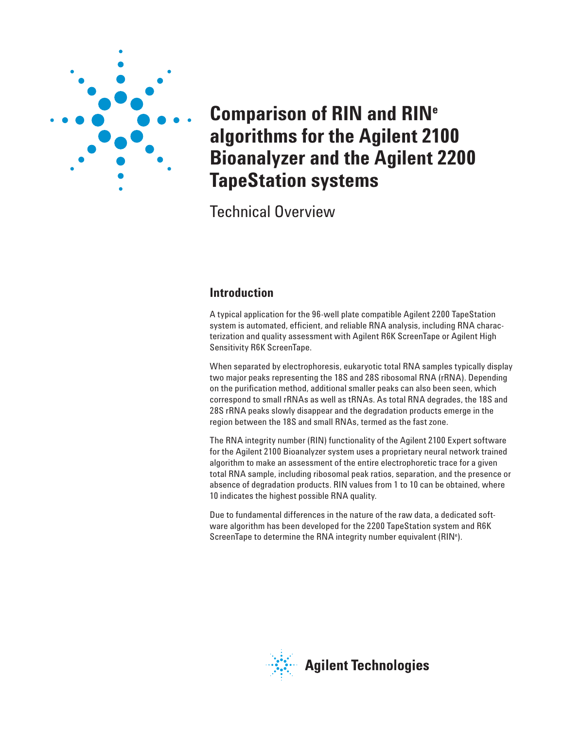

# **Comparison of RIN and RINe algorithms for the Agilent 2100 Bioanalyzer and the Agilent 2200 TapeStation systems**

Technical Overview

## **Introduction**

A typical application for the 96-well plate compatible Agilent 2200 TapeStation system is automated, efficient, and reliable RNA analysis, including RNA characterization and quality assessment with Agilent R6K ScreenTape or Agilent High Sensitivity R6K ScreenTape.

When separated by electrophoresis, eukaryotic total RNA samples typically display two major peaks representing the 18S and 28S ribosomal RNA (rRNA). Depending on the purification method, additional smaller peaks can also been seen, which correspond to small rRNAs as well as tRNAs. As total RNA degrades, the 18S and 28S rRNA peaks slowly disappear and the degradation products emerge in the region between the 18S and small RNAs, termed as the fast zone.

The RNA integrity number (RIN) functionality of the Agilent 2100 Expert software for the Agilent 2100 Bioanalyzer system uses a proprietary neural network trained algorithm to make an assessment of the entire electrophoretic trace for a given total RNA sample, including ribosomal peak ratios, separation, and the presence or absence of degradation products. RIN values from 1 to 10 can be obtained, where 10 indicates the highest possible RNA quality.

Due to fundamental differences in the nature of the raw data, a dedicated software algorithm has been developed for the 2200 TapeStation system and R6K ScreenTape to determine the RNA integrity number equivalent (RIN<sup>e</sup>).

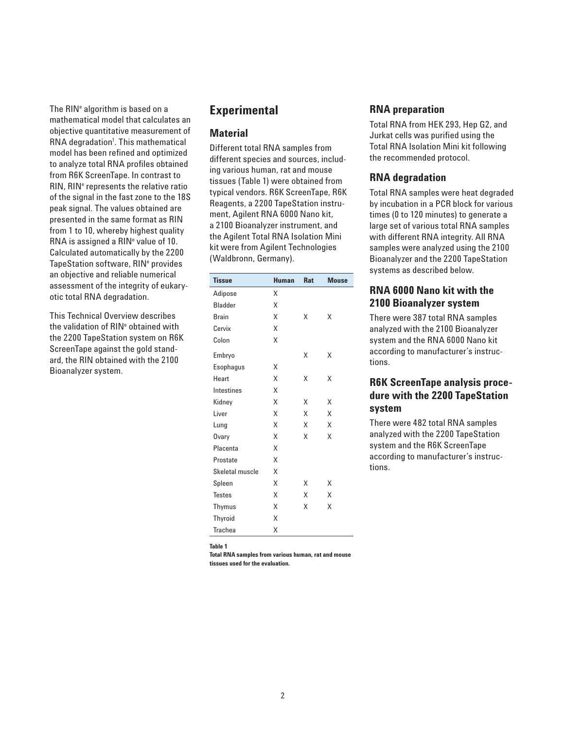The RIN<sup>e</sup> algorithm is based on a mathematical model that calculates an objective quantitative measurement of RNA degradation<sup>1</sup>. This mathematical model has been refined and optimized to analyze total RNA profiles obtained from R6K ScreenTape. In contrast to RIN, RIN<sup>e</sup> represents the relative ratio of the signal in the fast zone to the 18S peak signal. The values obtained are presented in the same format as RIN from 1 to 10, whereby highest quality RNA is assigned a RIN<sup>e</sup> value of 10. Calculated automatically by the 2200 TapeStation software, RIN<sup>e</sup> provides an objective and reliable numerical assessment of the integrity of eukaryotic total RNA degradation.

This Technical Overview describes the validation of RIN<sup>e</sup> obtained with the 2200 TapeStation system on R6K ScreenTape against the gold standard, the RIN obtained with the 2100 Bioanalyzer system.

## **Experimental**

#### **Material**

Different total RNA samples from different species and sources, including various human, rat and mouse tissues (Table 1) were obtained from typical vendors. R6K ScreenTape, R6K Reagents, a 2200 TapeStation instrument, Agilent RNA 6000 Nano kit, a 2100 Bioanalyzer instrument, and the Agilent Total RNA Isolation Mini kit were from Agilent Technologies (Waldbronn, Germany).

| <b>Tissue</b>   | <b>Human</b> | <b>Rat</b> | <b>Mouse</b> |
|-----------------|--------------|------------|--------------|
| Adipose         | Χ            |            |              |
| <b>Bladder</b>  | X            |            |              |
| <b>Brain</b>    | X            | Χ          | Χ            |
| Cervix          | X            |            |              |
| Colon           | X            |            |              |
| Embryo          |              | Χ          | Χ            |
| Esophagus       | Χ            |            |              |
| Heart           | X            | Χ          | Χ            |
| Intestines      | X            |            |              |
| Kidney          | Χ            | Χ          | Χ            |
| Liver           | Χ            | Χ          | X            |
| Lung            | X            | Χ          | X            |
| Ovary           | Χ            | Χ          | X            |
| Placenta        | Χ            |            |              |
| Prostate        | X            |            |              |
| Skeletal muscle | X            |            |              |
| Spleen          | Χ            | Χ          | Χ            |
| <b>Testes</b>   | Χ            | X          | X            |
| Thymus          | Χ            | Χ          | X            |
| <b>Thyroid</b>  | X            |            |              |
| <b>Trachea</b>  | Χ            |            |              |

**Table 1**

**Total RNA samples from various human, rat and mouse tissues used for the evaluation.**

#### **RNA preparation**

Total RNA from HEK 293, Hep G2, and Jurkat cells was purified using the Total RNA Isolation Mini kit following the recommended protocol.

#### **RNA degradation**

Total RNA samples were heat degraded by incubation in a PCR block for various times (0 to 120 minutes) to generate a large set of various total RNA samples with different RNA integrity. All RNA samples were analyzed using the 2100 Bioanalyzer and the 2200 TapeStation systems as described below.

## **RNA 6000 Nano kit with the 2100 Bioanalyzer system**

There were 387 total RNA samples analyzed with the 2100 Bioanalyzer system and the RNA 6000 Nano kit according to manufacturer's instructions.

#### **R6K ScreenTape analysis procedure with the 2200 TapeStation system**

There were 482 total RNA samples analyzed with the 2200 TapeStation system and the R6K ScreenTape according to manufacturer's instructions.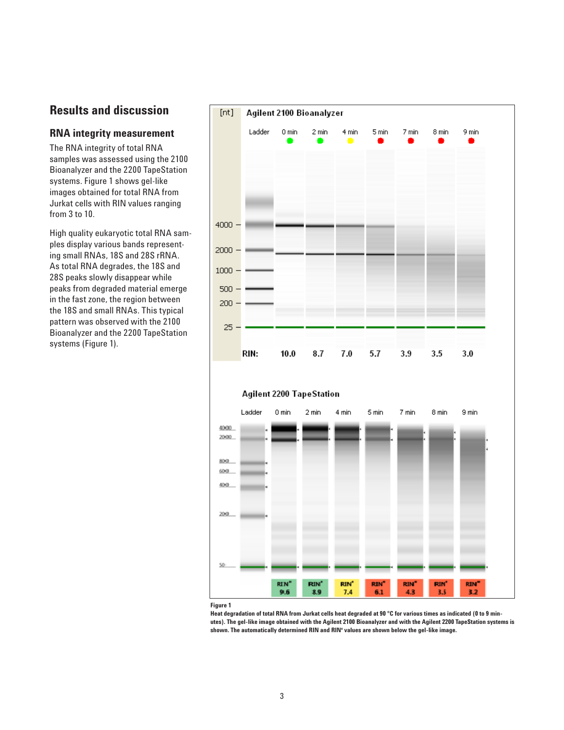## **Results and discussion**

#### **RNA integrity measurement**

The RNA integrity of total RNA samples was assessed using the 2100 Bioanalyzer and the 2200 TapeStation systems. Figure 1 shows gel-like images obtained for total RNA from Jurkat cells with RIN values ranging from 3 to 10.

High quality eukaryotic total RNA samples display various bands representing small RNAs, 18S and 28S rRNA. As total RNA degrades, the 18S and 28S peaks slowly disappear while peaks from degraded material emerge in the fast zone, the region between the 18S and small RNAs. This typical pattern was observed with the 2100 Bioanalyzer and the 2200 TapeStation systems (Figure 1).



**Figure 1**

**Heat degradation of total RNA from Jurkat cells heat degraded at 90 °C for various times as indicated (0 to 9 minutes). The gel-like image obtained with the Agilent 2100 Bioanalyzer and with the Agilent 2200 TapeStation systems is shown. The automatically determined RIN and RINe values are shown below the gel-like image.**